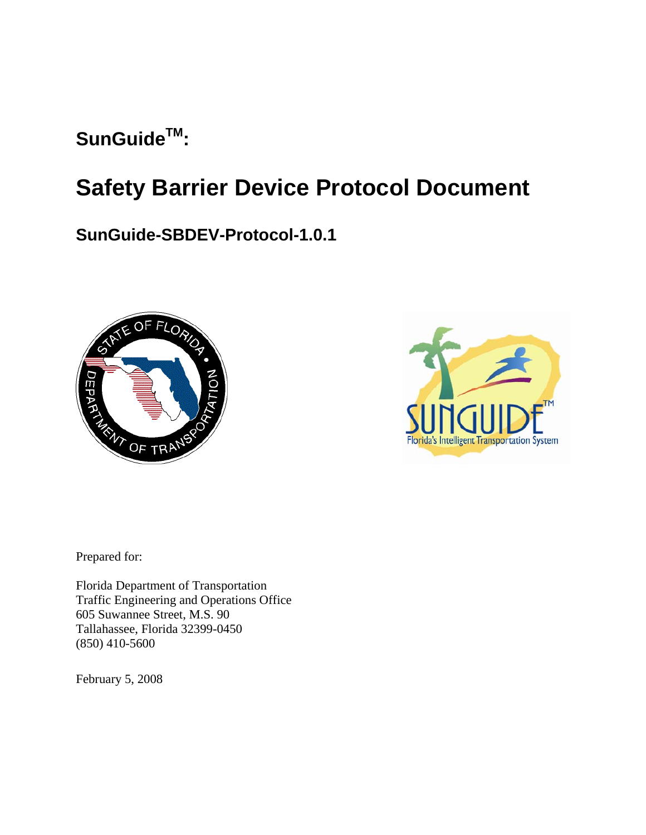# SunGuide<sup>TM</sup>:

# **Safety Barrier Device Protocol Document**

**SunGuide-SBDEV-Protocol-1.0.1**





Prepared for:

Florida Department of Transportation Traffic Engineering and Operations Office 605 Suwannee Street, M.S. 90 Tallahassee, Florida 32399-0450 (850) 410-5600

February 5, 2008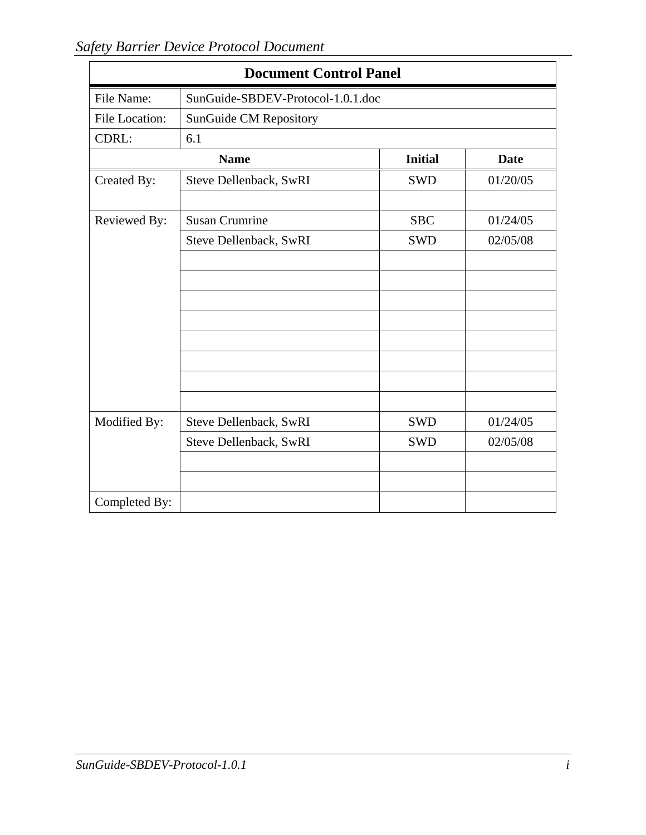|                | <b>Document Control Panel</b>     |                |             |  |  |  |  |  |  |
|----------------|-----------------------------------|----------------|-------------|--|--|--|--|--|--|
| File Name:     | SunGuide-SBDEV-Protocol-1.0.1.doc |                |             |  |  |  |  |  |  |
| File Location: | SunGuide CM Repository            |                |             |  |  |  |  |  |  |
| CDRL:          | 6.1                               |                |             |  |  |  |  |  |  |
|                | <b>Name</b>                       | <b>Initial</b> | <b>Date</b> |  |  |  |  |  |  |
| Created By:    | Steve Dellenback, SwRI            | <b>SWD</b>     | 01/20/05    |  |  |  |  |  |  |
| Reviewed By:   | <b>Susan Crumrine</b>             | <b>SBC</b>     | 01/24/05    |  |  |  |  |  |  |
|                | Steve Dellenback, SwRI            | <b>SWD</b>     | 02/05/08    |  |  |  |  |  |  |
|                |                                   |                |             |  |  |  |  |  |  |
|                |                                   |                |             |  |  |  |  |  |  |
|                |                                   |                |             |  |  |  |  |  |  |
|                |                                   |                |             |  |  |  |  |  |  |
|                |                                   |                |             |  |  |  |  |  |  |
|                |                                   |                |             |  |  |  |  |  |  |
|                |                                   |                |             |  |  |  |  |  |  |
| Modified By:   | Steve Dellenback, SwRI            | <b>SWD</b>     | 01/24/05    |  |  |  |  |  |  |
|                | Steve Dellenback, SwRI            | <b>SWD</b>     | 02/05/08    |  |  |  |  |  |  |
|                |                                   |                |             |  |  |  |  |  |  |
|                |                                   |                |             |  |  |  |  |  |  |
| Completed By:  |                                   |                |             |  |  |  |  |  |  |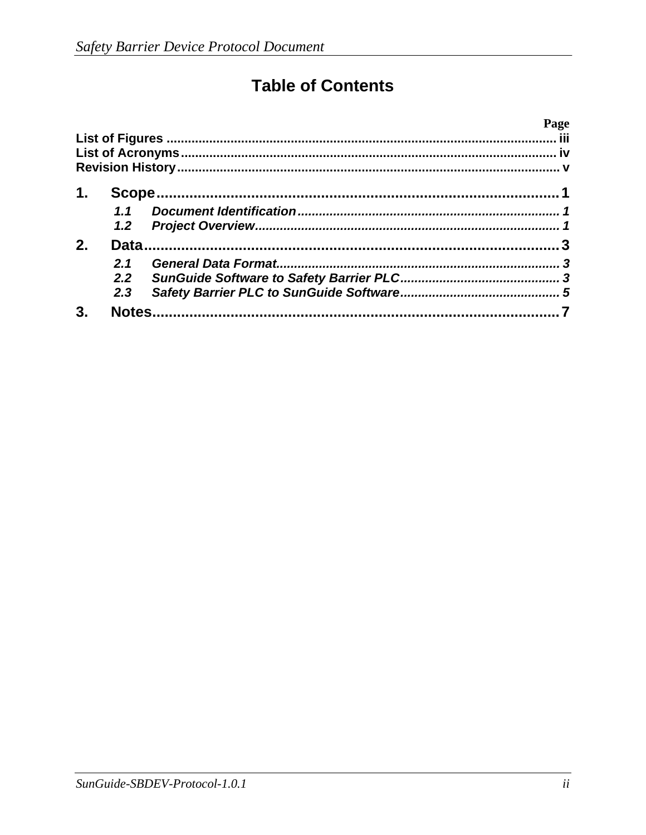# **Table of Contents**

|    |                  | Page |
|----|------------------|------|
|    |                  |      |
|    |                  |      |
|    |                  |      |
| 1. |                  |      |
|    | 1.1              |      |
|    | 1.2 <sub>2</sub> |      |
| 2. |                  |      |
|    | 2.1              |      |
|    | $2.2^{\circ}$    |      |
|    | 2.3              |      |
| 3. | <b>Notes</b>     |      |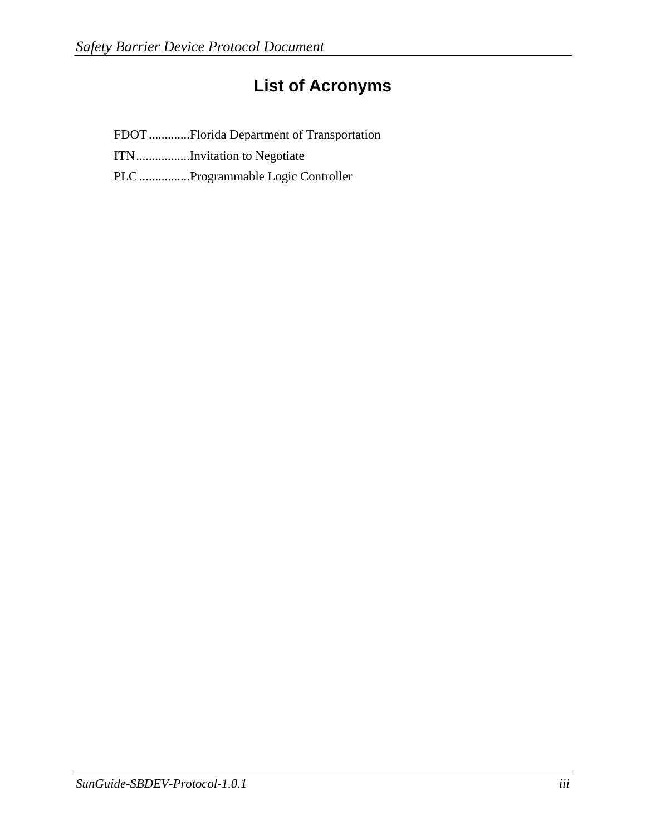### **List of Acronyms**

FDOT .............Florida Department of Transportation

ITN.................Invitation to Negotiate

PLC ................Programmable Logic Controller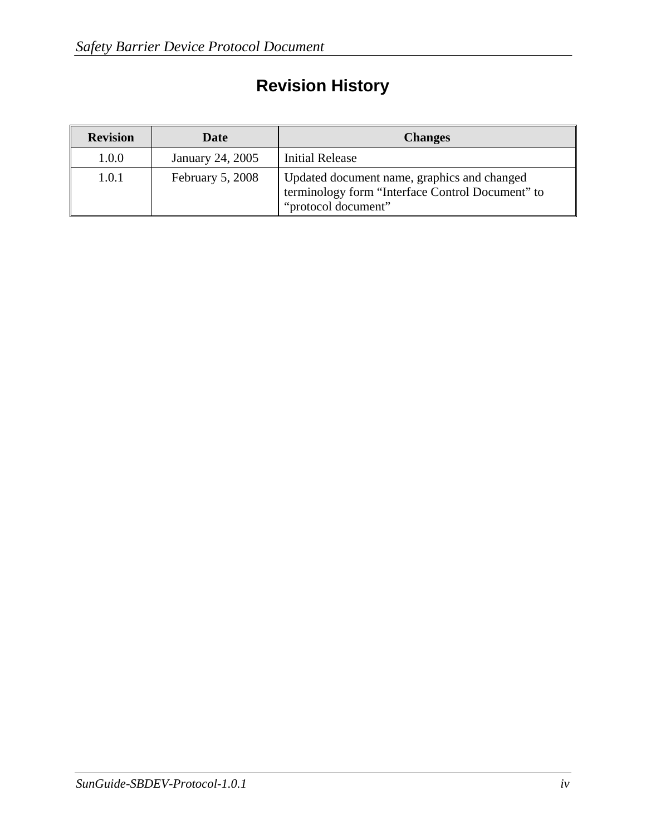# **Revision History**

| <b>Revision</b> | Date             | <b>Changes</b>                                                                                                         |
|-----------------|------------------|------------------------------------------------------------------------------------------------------------------------|
| 1.0.0           | January 24, 2005 | <b>Initial Release</b>                                                                                                 |
| 1.0.1           | February 5, 2008 | Updated document name, graphics and changed<br>terminology form "Interface Control Document" to<br>"protocol document" |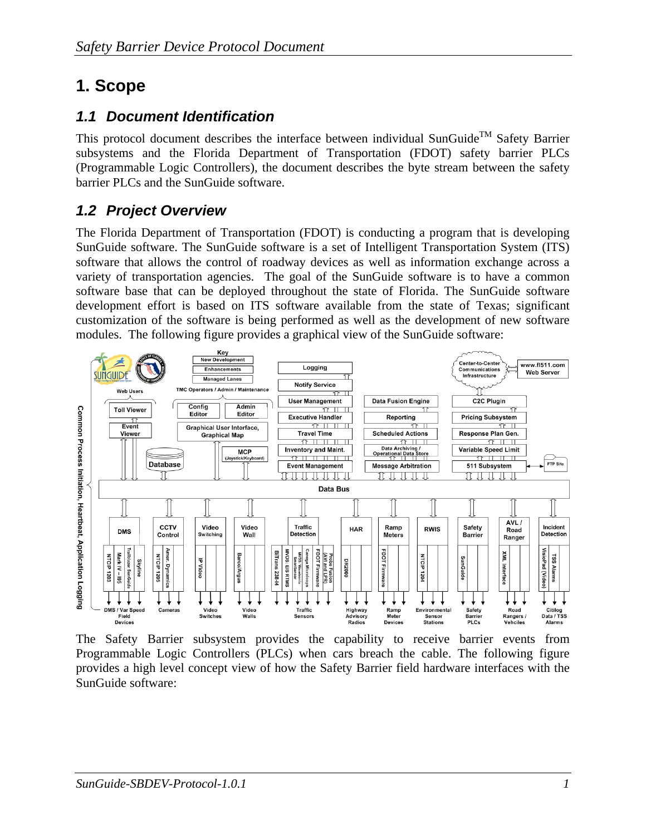### **1. Scope**

#### *1.1 Document Identification*

This protocol document describes the interface between individual SunGuide<sup>TM</sup> Safety Barrier subsystems and the Florida Department of Transportation (FDOT) safety barrier PLCs (Programmable Logic Controllers), the document describes the byte stream between the safety barrier PLCs and the SunGuide software.

#### *1.2 Project Overview*

The Florida Department of Transportation (FDOT) is conducting a program that is developing SunGuide software. The SunGuide software is a set of Intelligent Transportation System (ITS) software that allows the control of roadway devices as well as information exchange across a variety of transportation agencies. The goal of the SunGuide software is to have a common software base that can be deployed throughout the state of Florida. The SunGuide software development effort is based on ITS software available from the state of Texas; significant customization of the software is being performed as well as the development of new software modules. The following figure provides a graphical view of the SunGuide software:



The Safety Barrier subsystem provides the capability to receive barrier events from Programmable Logic Controllers (PLCs) when cars breach the cable. The following figure provides a high level concept view of how the Safety Barrier field hardware interfaces with the SunGuide software: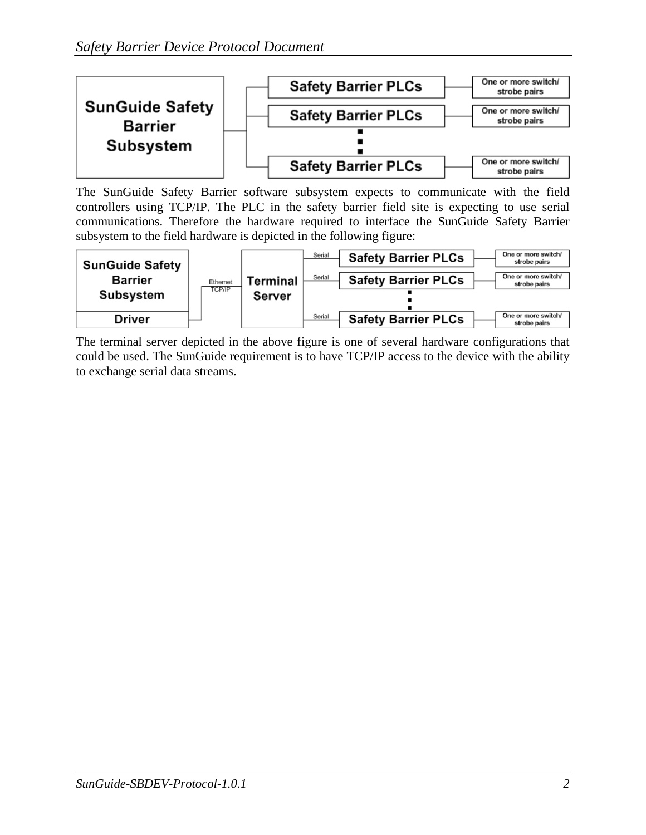

The SunGuide Safety Barrier software subsystem expects to communicate with the field controllers using TCP/IP. The PLC in the safety barrier field site is expecting to use serial communications. Therefore the hardware required to interface the SunGuide Safety Barrier subsystem to the field hardware is depicted in the following figure:



The terminal server depicted in the above figure is one of several hardware configurations that could be used. The SunGuide requirement is to have TCP/IP access to the device with the ability to exchange serial data streams.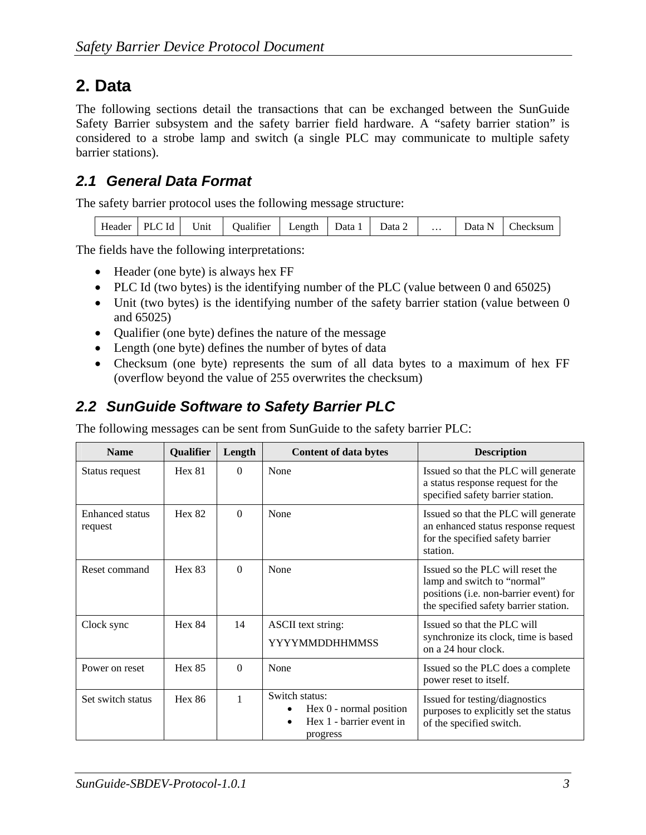### **2. Data**

The following sections detail the transactions that can be exchanged between the SunGuide Safety Barrier subsystem and the safety barrier field hardware. A "safety barrier station" is considered to a strobe lamp and switch (a single PLC may communicate to multiple safety barrier stations).

#### *2.1 General Data Format*

The safety barrier protocol uses the following message structure:

| Header | PLC Id | <b>TT</b><br>Unit | <b>Jualifier</b> | ∟ength | Data 1 | Data 2 | . | Jata<br>N | hecksum |
|--------|--------|-------------------|------------------|--------|--------|--------|---|-----------|---------|
|--------|--------|-------------------|------------------|--------|--------|--------|---|-----------|---------|

The fields have the following interpretations:

- Header (one byte) is always hex FF
- PLC Id (two bytes) is the identifying number of the PLC (value between 0 and 65025)
- Unit (two bytes) is the identifying number of the safety barrier station (value between 0 and 65025)
- Qualifier (one byte) defines the nature of the message
- Length (one byte) defines the number of bytes of data
- Checksum (one byte) represents the sum of all data bytes to a maximum of hex FF (overflow beyond the value of 255 overwrites the checksum)

#### *2.2 SunGuide Software to Safety Barrier PLC*

The following messages can be sent from SunGuide to the safety barrier PLC:

| <b>Name</b>                       | Qualifier     | Length   | <b>Content of data bytes</b>                                                                     | <b>Description</b>                                                                                                                                 |
|-----------------------------------|---------------|----------|--------------------------------------------------------------------------------------------------|----------------------------------------------------------------------------------------------------------------------------------------------------|
| Status request                    | Hex 81        | $\Omega$ | None                                                                                             | Issued so that the PLC will generate<br>a status response request for the<br>specified safety barrier station.                                     |
| <b>Enhanced</b> status<br>request | Hex 82        | $\Omega$ | None                                                                                             | Issued so that the PLC will generate<br>an enhanced status response request<br>for the specified safety barrier<br>station.                        |
| Reset command                     | Hex 83        | $\Omega$ | None                                                                                             | Issued so the PLC will reset the<br>lamp and switch to "normal"<br>positions (i.e. non-barrier event) for<br>the specified safety barrier station. |
| Clock sync                        | <b>Hex 84</b> | 14       | ASCII text string:<br><b>YYYYMMDDHHMMSS</b>                                                      | Issued so that the PLC will<br>synchronize its clock, time is based<br>on a 24 hour clock.                                                         |
| Power on reset                    | Hex 85        | $\Omega$ | None                                                                                             | Issued so the PLC does a complete<br>power reset to itself.                                                                                        |
| Set switch status                 | Hex 86        | 1        | Switch status:<br>Hex $0$ - normal position<br>Hex 1 - barrier event in<br>$\bullet$<br>progress | Issued for testing/diagnostics<br>purposes to explicitly set the status<br>of the specified switch.                                                |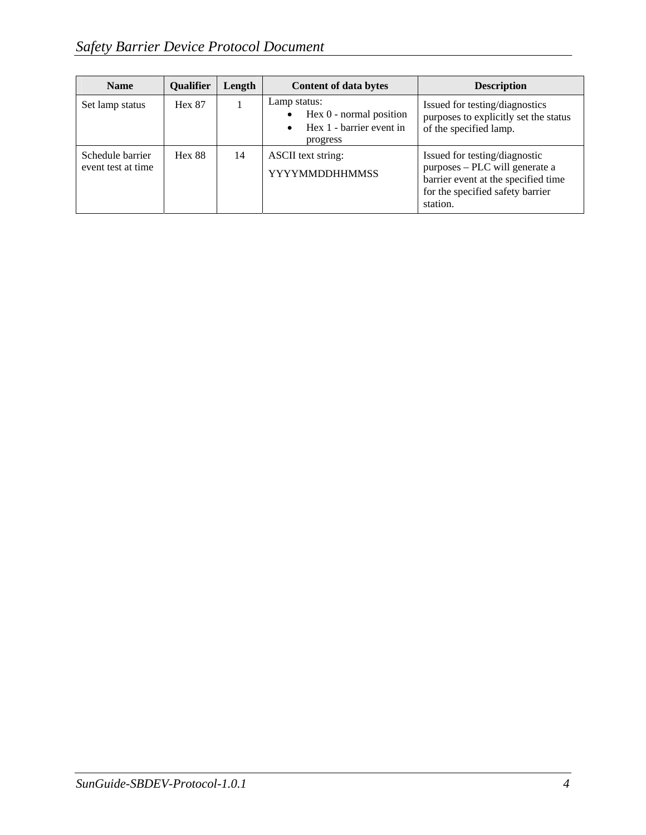| <b>Name</b>                            | <b>Oualifier</b> | Length | <b>Content of data bytes</b>                                                                                | <b>Description</b>                                                                                                                                     |
|----------------------------------------|------------------|--------|-------------------------------------------------------------------------------------------------------------|--------------------------------------------------------------------------------------------------------------------------------------------------------|
| Set lamp status                        | <b>Hex 87</b>    |        | Lamp status:<br>Hex $0$ - normal position<br>$\bullet$<br>Hex 1 - barrier event in<br>$\bullet$<br>progress | Issued for testing/diagnostics<br>purposes to explicitly set the status<br>of the specified lamp.                                                      |
| Schedule barrier<br>event test at time | <b>Hex 88</b>    | 14     | ASCII text string:<br><b>YYYYMMDDHHMMSS</b>                                                                 | Issued for testing/diagnostic<br>purposes - PLC will generate a<br>barrier event at the specified time<br>for the specified safety barrier<br>station. |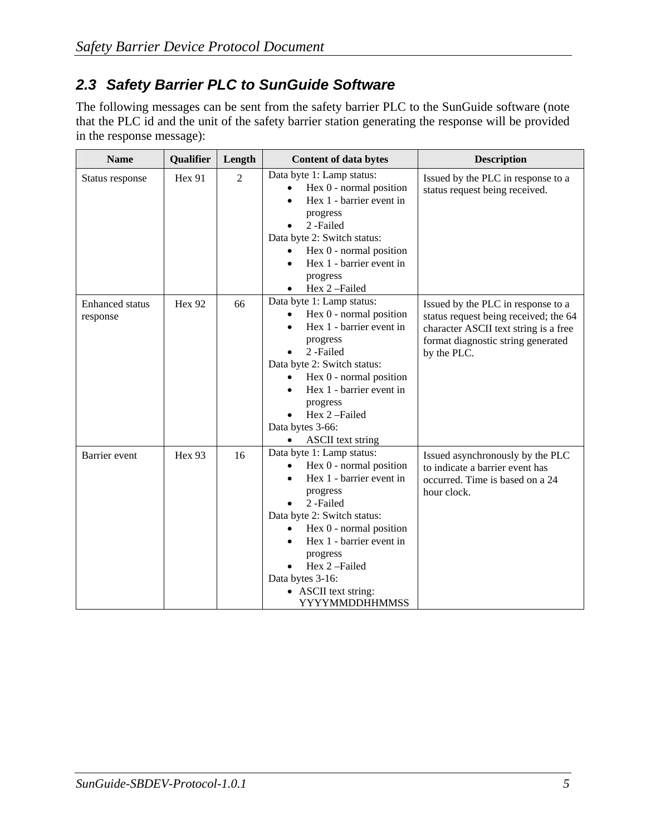#### *2.3 Safety Barrier PLC to SunGuide Software*

The following messages can be sent from the safety barrier PLC to the SunGuide software (note that the PLC id and the unit of the safety barrier station generating the response will be provided in the response message):

| <b>Name</b>                        | Qualifier     | Length         | <b>Content of data bytes</b>                                                                                                                                                                                                                                                                                                                        | <b>Description</b>                                                                                                                                                        |
|------------------------------------|---------------|----------------|-----------------------------------------------------------------------------------------------------------------------------------------------------------------------------------------------------------------------------------------------------------------------------------------------------------------------------------------------------|---------------------------------------------------------------------------------------------------------------------------------------------------------------------------|
| Status response                    | Hex 91        | $\overline{2}$ | Data byte 1: Lamp status:<br>Hex 0 - normal position<br>$\bullet$<br>Hex 1 - barrier event in<br>$\bullet$<br>progress<br>2-Failed<br>$\bullet$<br>Data byte 2: Switch status:<br>Hex 0 - normal position<br>$\bullet$<br>Hex 1 - barrier event in<br>$\bullet$<br>progress<br>Hex 2-Failed<br>$\bullet$                                            | Issued by the PLC in response to a<br>status request being received.                                                                                                      |
| <b>Enhanced</b> status<br>response | <b>Hex 92</b> | 66             | Data byte 1: Lamp status:<br>Hex $0$ - normal position<br>$\bullet$<br>Hex 1 - barrier event in<br>progress<br>2-Failed<br>Data byte 2: Switch status:<br>Hex 0 - normal position<br>Hex 1 - barrier event in<br>progress<br>Hex 2-Failed<br>Data bytes 3-66:<br><b>ASCII</b> text string<br>$\bullet$                                              | Issued by the PLC in response to a<br>status request being received; the 64<br>character ASCII text string is a free<br>format diagnostic string generated<br>by the PLC. |
| Barrier event                      | Hex 93        | 16             | Data byte 1: Lamp status:<br>Hex 0 - normal position<br>$\bullet$<br>Hex 1 - barrier event in<br>$\bullet$<br>progress<br>2-Failed<br>Data byte 2: Switch status:<br>Hex 0 - normal position<br>$\bullet$<br>Hex 1 - barrier event in<br>$\bullet$<br>progress<br>Hex 2-Failed<br>Data bytes 3-16:<br>• ASCII text string:<br><b>YYYYMMDDHHMMSS</b> | Issued asynchronously by the PLC<br>to indicate a barrier event has<br>occurred. Time is based on a 24<br>hour clock.                                                     |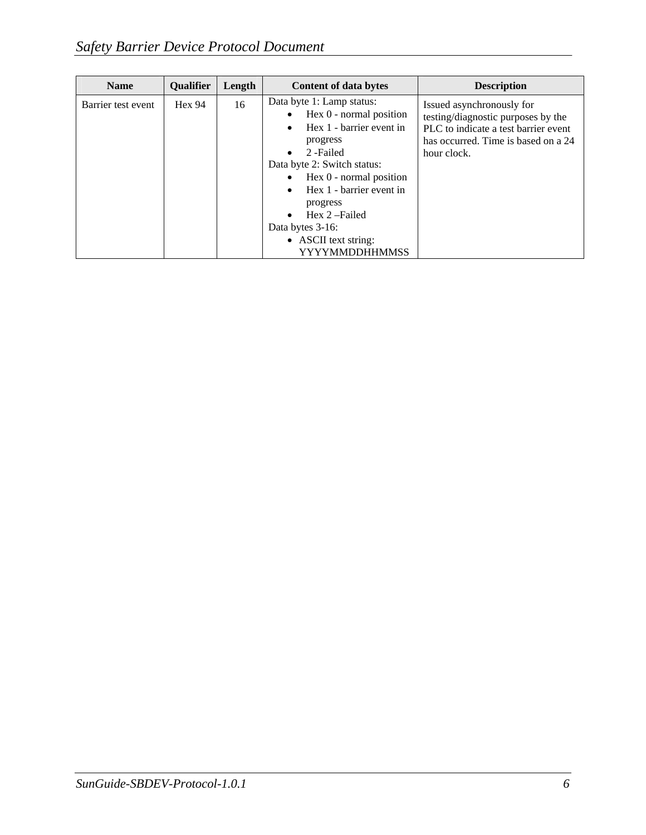| <b>Name</b>        | <b>Qualifier</b> | Length | <b>Content of data bytes</b>                                                                                                                                                                                                                                                                                                                                           | <b>Description</b>                                                                                                                                            |
|--------------------|------------------|--------|------------------------------------------------------------------------------------------------------------------------------------------------------------------------------------------------------------------------------------------------------------------------------------------------------------------------------------------------------------------------|---------------------------------------------------------------------------------------------------------------------------------------------------------------|
| Barrier test event | Hex 94           | 16     | Data byte 1: Lamp status:<br>Hex 0 - normal position<br>$\bullet$<br>Hex 1 - barrier event in<br>$\bullet$<br>progress<br>2-Failed<br>$\bullet$<br>Data byte 2: Switch status:<br>Hex 0 - normal position<br>$\bullet$<br>Hex 1 - barrier event in<br>$\bullet$<br>progress<br>Hex 2-Failed<br>$\bullet$<br>Data bytes 3-16:<br>• ASCII text string:<br>YYYYMMDDHHMMSS | Issued asynchronously for<br>testing/diagnostic purposes by the<br>PLC to indicate a test barrier event<br>has occurred. Time is based on a 24<br>hour clock. |